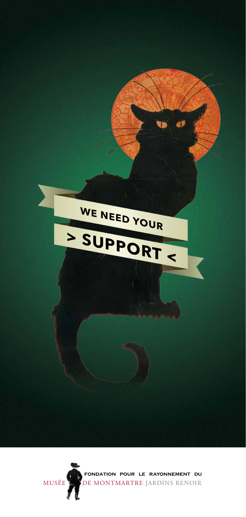

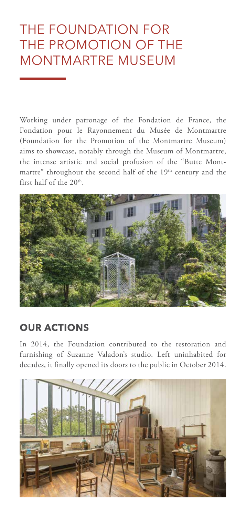## The Foundation for the Promotion of the Montmartre Museum

Working under patronage of the Fondation de France, the Fondation pour le Rayonnement du Musée de Montmartre (Foundation for the Promotion of the Montmartre Museum) aims to showcase, notably through the Museum of Montmartre, the intense artistic and social profusion of the "Butte Montmartre" throughout the second half of the 19<sup>th</sup> century and the first half of the 20<sup>th</sup>.



## **our actions**

In 2014, the Foundation contributed to the restoration and furnishing of Suzanne Valadon's studio. Left uninhabited for decades, it finally opened its doors to the public in October 2014.

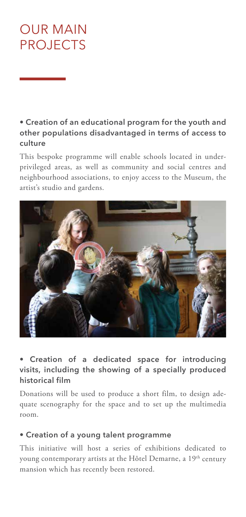## OUR MAIN **PROJECTS**

**• Creation of an educational program for the youth and other populations disadvantaged in terms of access to culture**

This bespoke programme will enable schools located in underprivileged areas, as well as community and social centres and neighbourhood associations, to enjoy access to the Museum, the artist's studio and gardens.



#### **• Creation of a dedicated space for introducing visits, including the showing of a specially produced historical film**

Donations will be used to produce a short film, to design adequate scenography for the space and to set up the multimedia room.

#### **• Creation of a young talent programme**

This initiative will host a series of exhibitions dedicated to young contemporary artists at the Hôtel Demarne, a 19<sup>th</sup> century mansion which has recently been restored.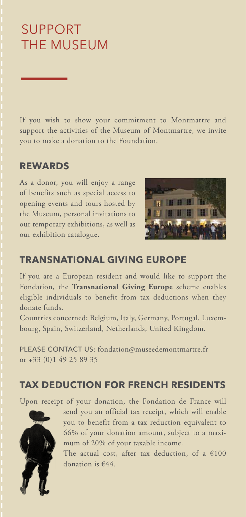# Support the museum

If you wish to show your commitment to Montmartre and support the activities of the Museum of Montmartre, we invite you to make a donation to the Foundation.

### **rewards**

As a donor, you will enjoy a range of benefits such as special access to opening events and tours hosted by the Museum, personal invitations to our temporary exhibitions, as well as our exhibition catalogue.



## **Transnational Giving Europe**

If you are a European resident and would like to support the Fondation, the **Transnational Giving Europe** scheme enables eligible individuals to benefit from tax deductions when they donate funds.

Countries concerned: Belgium, Italy, Germany, Portugal, Luxembourg, Spain, Switzerland, Netherlands, United Kingdom.

PLEASE CONTACT US: fondation@museedemontmartre.fr or +33 (0)1 49 25 89 35

### **TAX DEDUCTION for French residents**

Upon receipt of your donation, the Fondation de France will



send you an official tax receipt, which will enable you to benefit from a tax reduction equivalent to 66% of your donation amount, subject to a maxi-<br> **foldation**  $\frac{1}{200\%}$  of your taxeble income mum of 20% of your taxable income.

The actual cost, after tax deduction, of a  $\epsilon$ 100 donation is  $\epsilon$ 44 donation is  $€44$ .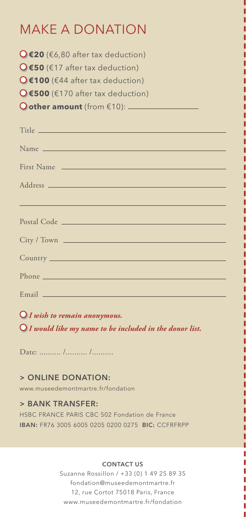## MAKE A DONATION

**€20** (€6,80 after tax deduction) **€50** (€17 after tax deduction) **€100** (€44 after tax deduction) **€500** (€170 after tax deduction) **other amount** (from €10):

| First Name                                                                                                                                                                                                                     |
|--------------------------------------------------------------------------------------------------------------------------------------------------------------------------------------------------------------------------------|
|                                                                                                                                                                                                                                |
|                                                                                                                                                                                                                                |
| <u> 1989 - Johann John Stone, markin film yn y brening yn y brening yn y brening yn y brening yn y brening yn y b</u>                                                                                                          |
|                                                                                                                                                                                                                                |
| City / Town                                                                                                                                                                                                                    |
|                                                                                                                                                                                                                                |
|                                                                                                                                                                                                                                |
| Phone experience and the contract of the contract of the contract of the contract of the contract of the contract of the contract of the contract of the contract of the contract of the contract of the contract of the contr |
|                                                                                                                                                                                                                                |
|                                                                                                                                                                                                                                |

 *I wish to remain anonymous. I would like my name to be included in the donor list.*

Date: .......... /.......... /...........

#### **> Online donation:**

www.museedemontmartre.fr/fondation

#### **> Bank transfer:**

HSBC FRANCE PARIS CBC 502 Fondation de France IBAN: FR76 3005 6005 0205 0200 0275 BIC: CCFRFRPP

#### **Contact us**

Suzanne Rossillon / +33 (0) 1 49 25 89 35 fondation@museedemontmartre.fr 12, rue Cortot 75018 Paris, France www.museedemontmartre.fr/fondation